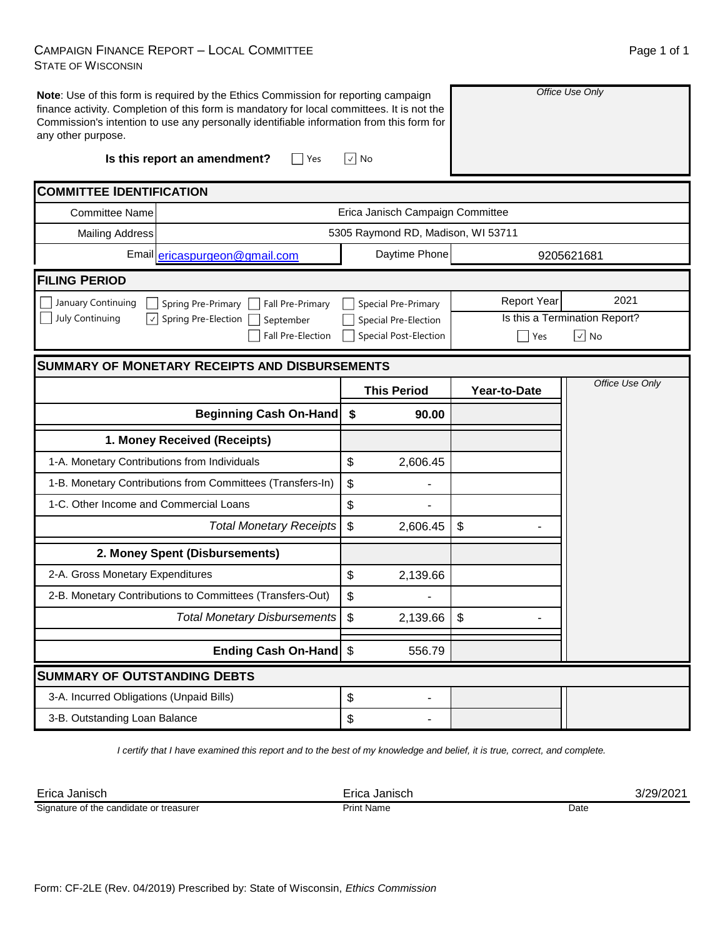## CAMPAIGN FINANCE REPORT – LOCAL COMMITTEE STATE OF WISCONSIN

| any other purpose.                                    | Note: Use of this form is required by the Ethics Commission for reporting campaign<br>finance activity. Completion of this form is mandatory for local committees. It is not the<br>Commission's intention to use any personally identifiable information from this form for |                                       | Office Use Only                 |                               |  |  |
|-------------------------------------------------------|------------------------------------------------------------------------------------------------------------------------------------------------------------------------------------------------------------------------------------------------------------------------------|---------------------------------------|---------------------------------|-------------------------------|--|--|
|                                                       | Is this report an amendment?<br>Yes                                                                                                                                                                                                                                          | ∣√∣ No                                |                                 |                               |  |  |
| <b>COMMITTEE IDENTIFICATION</b>                       |                                                                                                                                                                                                                                                                              |                                       |                                 |                               |  |  |
| <b>Committee Name</b>                                 |                                                                                                                                                                                                                                                                              | Erica Janisch Campaign Committee      |                                 |                               |  |  |
| <b>Mailing Address</b>                                |                                                                                                                                                                                                                                                                              | 5305 Raymond RD, Madison, WI 53711    |                                 |                               |  |  |
|                                                       | Email ericaspurgeon@gmail.com                                                                                                                                                                                                                                                | Daytime Phone                         |                                 | 9205621681                    |  |  |
| <b>FILING PERIOD</b>                                  |                                                                                                                                                                                                                                                                              |                                       |                                 |                               |  |  |
| January Continuing                                    | Spring Pre-Primary<br>Fall Pre-Primary                                                                                                                                                                                                                                       | Special Pre-Primary                   | <b>Report Year</b>              | 2021                          |  |  |
| <b>July Continuing</b><br>$\sqrt{}$                   | Spring Pre-Election<br>September                                                                                                                                                                                                                                             | Special Pre-Election                  |                                 | Is this a Termination Report? |  |  |
|                                                       | <b>Fall Pre-Election</b>                                                                                                                                                                                                                                                     | <b>Special Post-Election</b>          | $\boxed{\vee}$ No<br><b>Yes</b> |                               |  |  |
| <b>SUMMARY OF MONETARY RECEIPTS AND DISBURSEMENTS</b> |                                                                                                                                                                                                                                                                              |                                       |                                 |                               |  |  |
|                                                       |                                                                                                                                                                                                                                                                              | <b>This Period</b>                    | Year-to-Date                    | Office Use Only               |  |  |
|                                                       | <b>Beginning Cash On-Hand</b>                                                                                                                                                                                                                                                | \$<br>90.00                           |                                 |                               |  |  |
|                                                       | 1. Money Received (Receipts)                                                                                                                                                                                                                                                 |                                       |                                 |                               |  |  |
| 1-A. Monetary Contributions from Individuals          |                                                                                                                                                                                                                                                                              | \$<br>2,606.45                        |                                 |                               |  |  |
|                                                       | 1-B. Monetary Contributions from Committees (Transfers-In)                                                                                                                                                                                                                   | \$                                    |                                 |                               |  |  |
| 1-C. Other Income and Commercial Loans                |                                                                                                                                                                                                                                                                              | \$                                    |                                 |                               |  |  |
|                                                       | <b>Total Monetary Receipts</b>                                                                                                                                                                                                                                               | \$<br>2,606.45                        | \$                              |                               |  |  |
|                                                       | 2. Money Spent (Disbursements)                                                                                                                                                                                                                                               |                                       |                                 |                               |  |  |
| 2-A. Gross Monetary Expenditures                      |                                                                                                                                                                                                                                                                              | \$<br>2,139.66                        |                                 |                               |  |  |
|                                                       | 2-B. Monetary Contributions to Committees (Transfers-Out)                                                                                                                                                                                                                    | \$                                    |                                 |                               |  |  |
|                                                       | <b>Total Monetary Disbursements</b>                                                                                                                                                                                                                                          | $\boldsymbol{\mathsf{S}}$<br>2,139.66 | \$                              |                               |  |  |
|                                                       | Ending Cash On-Hand \$                                                                                                                                                                                                                                                       | 556.79                                |                                 |                               |  |  |
| <b>SUMMARY OF OUTSTANDING DEBTS</b>                   |                                                                                                                                                                                                                                                                              |                                       |                                 |                               |  |  |
| 3-A. Incurred Obligations (Unpaid Bills)              |                                                                                                                                                                                                                                                                              | \$                                    |                                 |                               |  |  |

*I certify that I have examined this report and to the best of my knowledge and belief, it is true, correct, and complete.*

 $\updownarrow$ 

| Erica<br>Janisch                               | Janısch<br><b>TICS</b> |           |
|------------------------------------------------|------------------------|-----------|
| Signature<br>f the candidate<br>or treasurer ؛ | Name<br>,,,,,          | Date<br>. |

3-B. Outstanding Loan Balance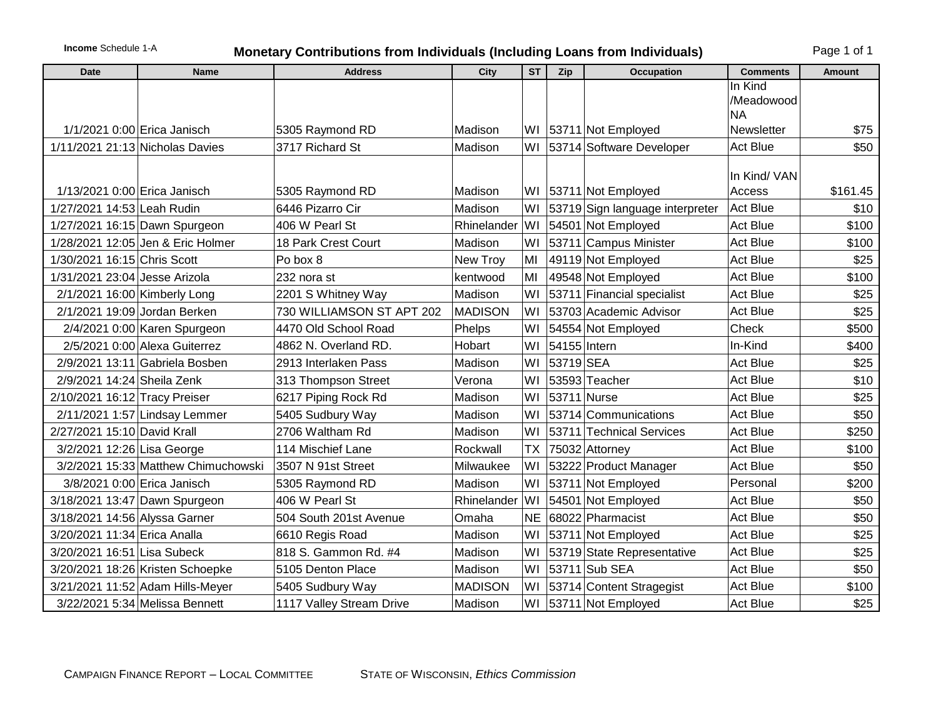## **Income** Schedule 1-A **Monetary Contributions from Individuals (Including Loans from Individuals)** Page 1 of 1

| <b>Date</b>                   | <b>Name</b>                         | <b>Address</b>            | City           | <b>ST</b> | Zip          | <b>Occupation</b>               | <b>Comments</b>       | Amount   |
|-------------------------------|-------------------------------------|---------------------------|----------------|-----------|--------------|---------------------------------|-----------------------|----------|
|                               |                                     |                           |                |           |              |                                 | In Kind<br>/Meadowood |          |
|                               |                                     |                           |                |           |              |                                 | <b>NA</b>             |          |
|                               | 1/1/2021 0:00 Erica Janisch         | 5305 Raymond RD           | Madison        |           |              | WI   53711 Not Employed         | Newsletter            | \$75     |
|                               | 1/11/2021 21:13 Nicholas Davies     | 3717 Richard St           | Madison        |           |              | WI 53714 Software Developer     | <b>Act Blue</b>       | \$50     |
|                               |                                     |                           |                |           |              |                                 |                       |          |
| 1/13/2021 0:00 Erica Janisch  |                                     | 5305 Raymond RD           | Madison        |           |              | WI   53711 Not Employed         | In Kind/VAN<br>Access | \$161.45 |
| 1/27/2021 14:53 Leah Rudin    |                                     | 6446 Pizarro Cir          | Madison        | WI        |              | 53719 Sign language interpreter | <b>Act Blue</b>       | \$10     |
|                               | 1/27/2021 16:15 Dawn Spurgeon       | 406 W Pearl St            | Rhinelander WI |           |              | 54501 Not Employed              | <b>Act Blue</b>       | \$100    |
|                               | 1/28/2021 12:05 Jen & Eric Holmer   | 18 Park Crest Court       | Madison        | WI        |              | 53711 Campus Minister           | <b>Act Blue</b>       | \$100    |
| 1/30/2021 16:15 Chris Scott   |                                     | Po box 8                  | New Troy       | MI        |              | 49119 Not Employed              | <b>Act Blue</b>       | \$25     |
| 1/31/2021 23:04 Jesse Arizola |                                     | 232 nora st               | kentwood       | MI        |              | 49548 Not Employed              | <b>Act Blue</b>       | \$100    |
| 2/1/2021 16:00 Kimberly Long  |                                     | 2201 S Whitney Way        | Madison        | WI        |              | 53711 Financial specialist      | <b>Act Blue</b>       | \$25     |
|                               | 2/1/2021 19:09 Jordan Berken        | 730 WILLIAMSON ST APT 202 | <b>MADISON</b> | WI        |              | 53703 Academic Advisor          | <b>Act Blue</b>       | \$25     |
|                               | $2/4/2021$ 0:00 Karen Spurgeon      | 4470 Old School Road      | Phelps         | W١        |              | 54554 Not Employed              | Check                 | \$500    |
|                               | 2/5/2021 0:00 Alexa Guiterrez       | 4862 N. Overland RD.      | Hobart         | WI        | 54155 Intern |                                 | In-Kind               | \$400    |
|                               | 2/9/2021 13:11 Gabriela Bosben      | 2913 Interlaken Pass      | Madison        | WI        | 53719 SEA    |                                 | <b>Act Blue</b>       | \$25     |
| 2/9/2021 14:24 Sheila Zenk    |                                     | 313 Thompson Street       | Verona         | WI        |              | 53593 Teacher                   | <b>Act Blue</b>       | \$10     |
| 2/10/2021 16:12 Tracy Preiser |                                     | 6217 Piping Rock Rd       | Madison        | WI        | 53711 Nurse  |                                 | <b>Act Blue</b>       | \$25     |
|                               | 2/11/2021 1:57 Lindsay Lemmer       | 5405 Sudbury Way          | Madison        | WI        |              | 53714 Communications            | <b>Act Blue</b>       | \$50     |
| 2/27/2021 15:10 David Krall   |                                     | 2706 Waltham Rd           | Madison        | WI        |              | 53711 Technical Services        | <b>Act Blue</b>       | \$250    |
| 3/2/2021 12:26 Lisa George    |                                     | 114 Mischief Lane         | Rockwall       | TX        |              | 75032 Attorney                  | <b>Act Blue</b>       | \$100    |
|                               | 3/2/2021 15:33 Matthew Chimuchowski | 3507 N 91st Street        | Milwaukee      | WI        |              | 53222 Product Manager           | <b>Act Blue</b>       | \$50     |
|                               | 3/8/2021 0:00 Erica Janisch         | 5305 Raymond RD           | Madison        | WI        |              | 53711 Not Employed              | Personal              | \$200    |
|                               | 3/18/2021 13:47 Dawn Spurgeon       | 406 W Pearl St            | Rhinelander    | lwı       |              | 54501 Not Employed              | Act Blue              | \$50     |
| 3/18/2021 14:56 Alyssa Garner |                                     | 504 South 201st Avenue    | Omaha          | <b>NE</b> |              | 68022 Pharmacist                | Act Blue              | \$50     |
| 3/20/2021 11:34 Erica Analla  |                                     | 6610 Regis Road           | Madison        | WI        |              | 53711 Not Employed              | Act Blue              | \$25     |
| 3/20/2021 16:51 Lisa Subeck   |                                     | 818 S. Gammon Rd. #4      | Madison        | WI        |              | 53719 State Representative      | <b>Act Blue</b>       | \$25     |
|                               | 3/20/2021 18:26 Kristen Schoepke    | 5105 Denton Place         | Madison        | WI        |              | 53711 Sub SEA                   | Act Blue              | \$50     |
|                               | 3/21/2021 11:52 Adam Hills-Meyer    | 5405 Sudbury Way          | <b>MADISON</b> | WI        |              | 53714 Content Stragegist        | Act Blue              | \$100    |
|                               | 3/22/2021 5:34 Melissa Bennett      | 1117 Valley Stream Drive  | Madison        |           |              | WI 53711 Not Employed           | <b>Act Blue</b>       | \$25     |